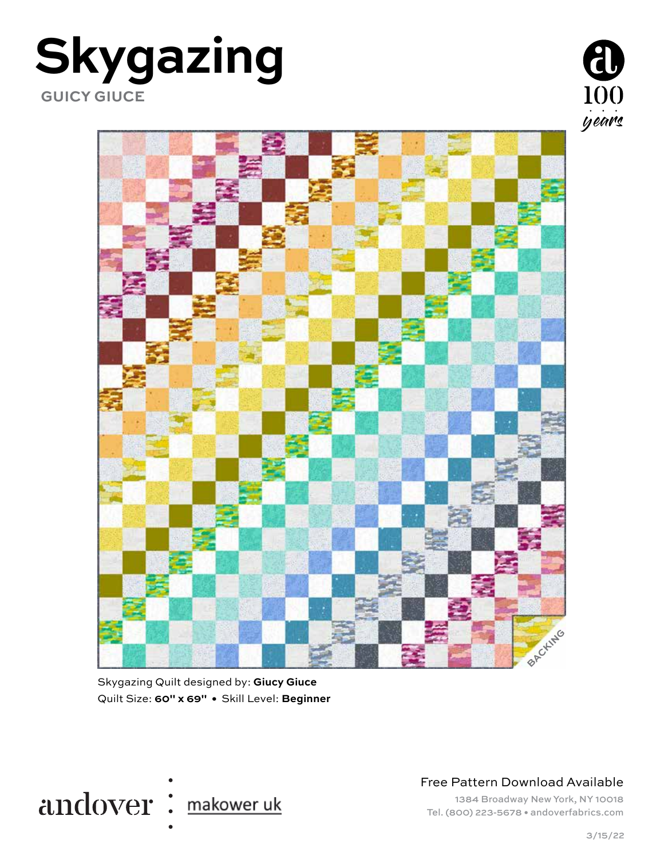### **Skygazing GUICY GIUCE**





Skygazing Quilt designed by: **Giucy Giuce** Quilt Size: **60" x 69" •** Skill Level: **Beginner** 



Free Pattern Download Available

1384 Broadway New York, NY 10018 Tel. (800) 223-5678 • andoverfabrics.com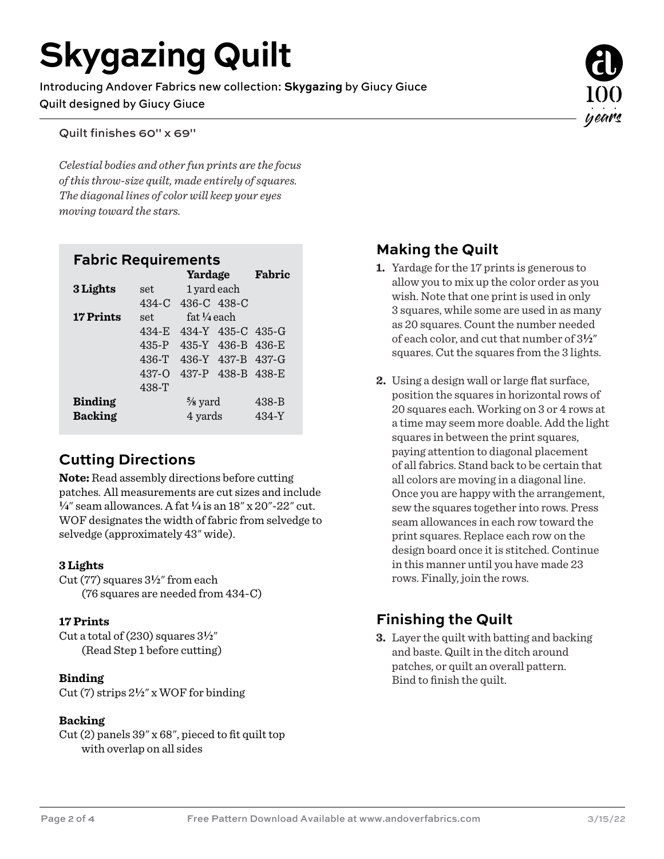## **Skygazing Quilt**

Introducing Andover Fabrics new collection: **Skygazing** by Giucy Giuce Quilt designed by Giucy Giuce

Quilt finishes 60" x 69"

*Celestial bodies and other fun prints are the focus of this throw-size quilt, made entirely of squares. The diagonal lines of color will keep your eyes moving toward the stars.*

#### **Fabric Requirements**

|                  |           | Yardage               |                   | Fabric    |
|------------------|-----------|-----------------------|-------------------|-----------|
| 3 Lights         | set.      | 1 yard each           |                   |           |
|                  | $434-C$   | 436-C 438-C           |                   |           |
| <b>17 Prints</b> | set.      | $fat\frac{1}{4}$ each |                   |           |
|                  | $434-E$   |                       | 434-Y 435-C 435-G |           |
|                  | $435-P$   |                       | 435-Y 436-B 436-E |           |
|                  | $436-T$   |                       | 436-Y 437-B 437-G |           |
|                  | $437 - 0$ |                       | 437-P 438-B 438-E |           |
|                  | 438-T     |                       |                   |           |
| <b>Binding</b>   |           | $\frac{5}{8}$ yard    |                   | $438 - B$ |
| <b>Backing</b>   |           | 4 yards               |                   | 434-Y     |

#### **Cutting Directions**

**Note:** Read assembly directions before cutting patches. All measurements are cut sizes and include **4**" seam allowances. A fat **4** is an 18" x 20"-22" cut. WOF designates the width of fabric from selvedge to selvedge (approximately 43" wide).

#### **3 Lights**

Cut (77) squares 3**2**" from each (76 squares are needed from 434-C)

#### **17 Prints**

Cut a total of  $(230)$  squares  $3\frac{1}{2}$ " (Read Step 1 before cutting)

#### **Binding**

Cut (7) strips 2**2**" x WOF for binding

#### **Backing**

Cut (2) panels 39" x 68", pieced to fit quilt top with overlap on all sides

#### **Making the Quilt**

- **1.** Yardage for the 17 prints is generous to allow you to mix up the color order as you wish. Note that one print is used in only 3 squares, while some are used in as many as 20 squares. Count the number needed of each color, and cut that number of 3**2**" squares. Cut the squares from the 3 lights.
- **2.** Using a design wall or large flat surface, position the squares in horizontal rows of 20 squares each. Working on 3 or 4 rows at a time may seem more doable. Add the light squares in between the print squares, paying attention to diagonal placement of all fabrics. Stand back to be certain that all colors are moving in a diagonal line. Once you are happy with the arrangement, sew the squares together into rows. Press seam allowances in each row toward the print squares. Replace each row on the design board once it is stitched. Continue in this manner until you have made 23 rows. Finally, join the rows.

#### **Finishing the Quilt**

**3.** Layer the quilt with batting and backing and baste. Quilt in the ditch around patches, or quilt an overall pattern. Bind to finish the quilt.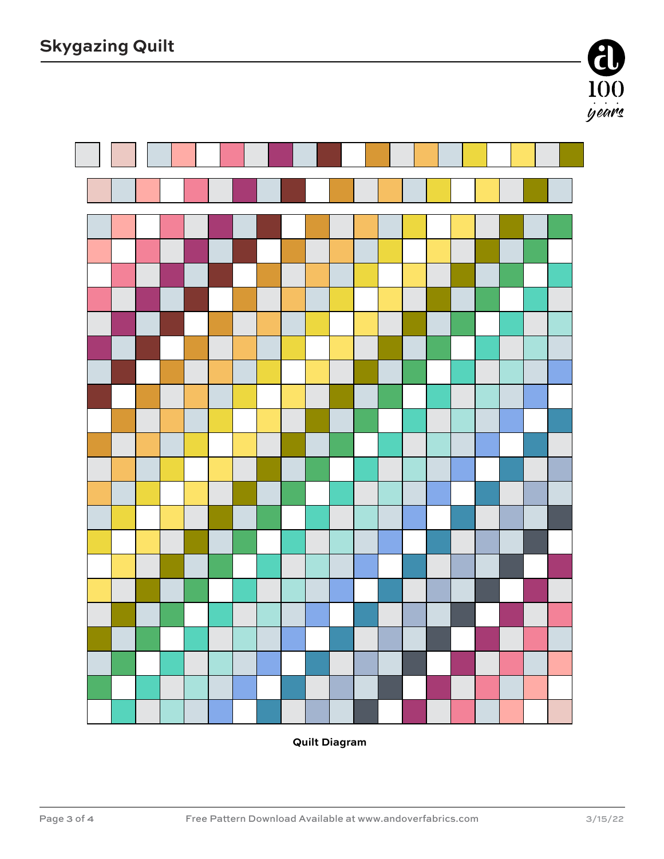

**Quilt Diagram**

 $\frac{100}{\frac{9}{2}}$